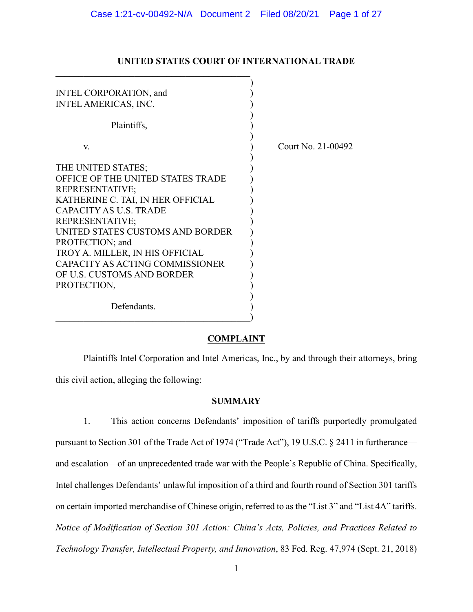| INTEL CORPORATION, and            |                    |
|-----------------------------------|--------------------|
| <b>INTEL AMERICAS, INC.</b>       |                    |
|                                   |                    |
| Plaintiffs,                       |                    |
|                                   |                    |
| V.                                | Court No. 21-00492 |
|                                   |                    |
| THE UNITED STATES;                |                    |
| OFFICE OF THE UNITED STATES TRADE |                    |
| <b>REPRESENTATIVE;</b>            |                    |
| KATHERINE C. TAI, IN HER OFFICIAL |                    |
| <b>CAPACITY AS U.S. TRADE</b>     |                    |
| REPRESENTATIVE;                   |                    |
| UNITED STATES CUSTOMS AND BORDER  |                    |
| PROTECTION; and                   |                    |
| TROY A. MILLER, IN HIS OFFICIAL   |                    |
| CAPACITY AS ACTING COMMISSIONER   |                    |
| OF U.S. CUSTOMS AND BORDER        |                    |
| PROTECTION,                       |                    |
|                                   |                    |
| Defendants.                       |                    |
|                                   |                    |

# **UNITED STATES COURT OF INTERNATIONAL TRADE**

### **COMPLAINT**

Plaintiffs Intel Corporation and Intel Americas, Inc., by and through their attorneys, bring this civil action, alleging the following:

# **SUMMARY**

1. This action concerns Defendants' imposition of tariffs purportedly promulgated pursuant to Section 301 of the Trade Act of 1974 ("Trade Act"), 19 U.S.C. § 2411 in furtherance and escalation—of an unprecedented trade war with the People's Republic of China. Specifically, Intel challenges Defendants' unlawful imposition of a third and fourth round of Section 301 tariffs on certain imported merchandise of Chinese origin, referred to as the "List 3" and "List 4A" tariffs. *Notice of Modification of Section 301 Action: China's Acts, Policies, and Practices Related to Technology Transfer, Intellectual Property, and Innovation*, 83 Fed. Reg. 47,974 (Sept. 21, 2018)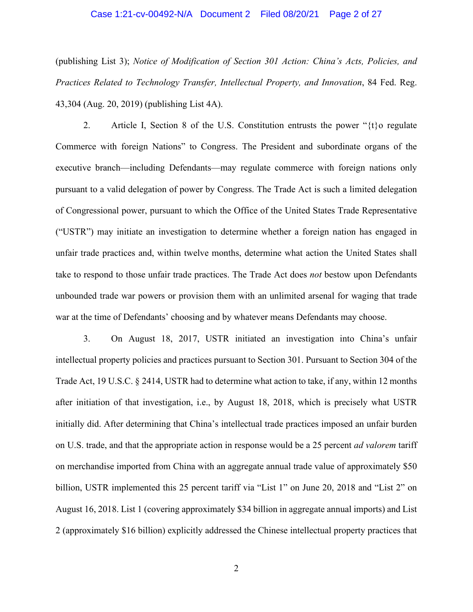## Case 1:21-cv-00492-N/A Document 2 Filed 08/20/21 Page 2 of 27

(publishing List 3); *Notice of Modification of Section 301 Action: China's Acts, Policies, and Practices Related to Technology Transfer, Intellectual Property, and Innovation*, 84 Fed. Reg. 43,304 (Aug. 20, 2019) (publishing List 4A).

2. Article I, Section 8 of the U.S. Constitution entrusts the power " $\{t\}$ o regulate Commerce with foreign Nations" to Congress. The President and subordinate organs of the executive branch—including Defendants—may regulate commerce with foreign nations only pursuant to a valid delegation of power by Congress. The Trade Act is such a limited delegation of Congressional power, pursuant to which the Office of the United States Trade Representative ("USTR") may initiate an investigation to determine whether a foreign nation has engaged in unfair trade practices and, within twelve months, determine what action the United States shall take to respond to those unfair trade practices. The Trade Act does *not* bestow upon Defendants unbounded trade war powers or provision them with an unlimited arsenal for waging that trade war at the time of Defendants' choosing and by whatever means Defendants may choose.

3. On August 18, 2017, USTR initiated an investigation into China's unfair intellectual property policies and practices pursuant to Section 301. Pursuant to Section 304 of the Trade Act, 19 U.S.C. § 2414, USTR had to determine what action to take, if any, within 12 months after initiation of that investigation, i.e., by August 18, 2018, which is precisely what USTR initially did. After determining that China's intellectual trade practices imposed an unfair burden on U.S. trade, and that the appropriate action in response would be a 25 percent *ad valorem* tariff on merchandise imported from China with an aggregate annual trade value of approximately \$50 billion, USTR implemented this 25 percent tariff via "List 1" on June 20, 2018 and "List 2" on August 16, 2018. List 1 (covering approximately \$34 billion in aggregate annual imports) and List 2 (approximately \$16 billion) explicitly addressed the Chinese intellectual property practices that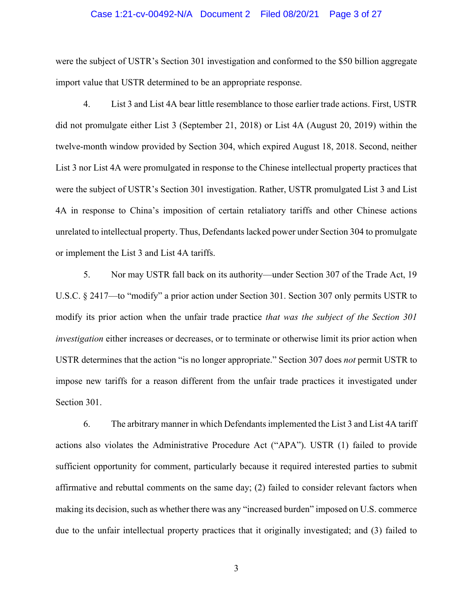#### Case 1:21-cv-00492-N/A Document 2 Filed 08/20/21 Page 3 of 27

were the subject of USTR's Section 301 investigation and conformed to the \$50 billion aggregate import value that USTR determined to be an appropriate response.

4. List 3 and List 4A bear little resemblance to those earlier trade actions. First, USTR did not promulgate either List 3 (September 21, 2018) or List 4A (August 20, 2019) within the twelve-month window provided by Section 304, which expired August 18, 2018. Second, neither List 3 nor List 4A were promulgated in response to the Chinese intellectual property practices that were the subject of USTR's Section 301 investigation. Rather, USTR promulgated List 3 and List 4A in response to China's imposition of certain retaliatory tariffs and other Chinese actions unrelated to intellectual property. Thus, Defendants lacked power under Section 304 to promulgate or implement the List 3 and List 4A tariffs.

5. Nor may USTR fall back on its authority—under Section 307 of the Trade Act, 19 U.S.C. § 2417—to "modify" a prior action under Section 301. Section 307 only permits USTR to modify its prior action when the unfair trade practice *that was the subject of the Section 301 investigation* either increases or decreases, or to terminate or otherwise limit its prior action when USTR determines that the action "is no longer appropriate." Section 307 does *not* permit USTR to impose new tariffs for a reason different from the unfair trade practices it investigated under Section 301.

6. The arbitrary manner in which Defendants implemented the List 3 and List 4A tariff actions also violates the Administrative Procedure Act ("APA"). USTR (1) failed to provide sufficient opportunity for comment, particularly because it required interested parties to submit affirmative and rebuttal comments on the same day; (2) failed to consider relevant factors when making its decision, such as whether there was any "increased burden" imposed on U.S. commerce due to the unfair intellectual property practices that it originally investigated; and (3) failed to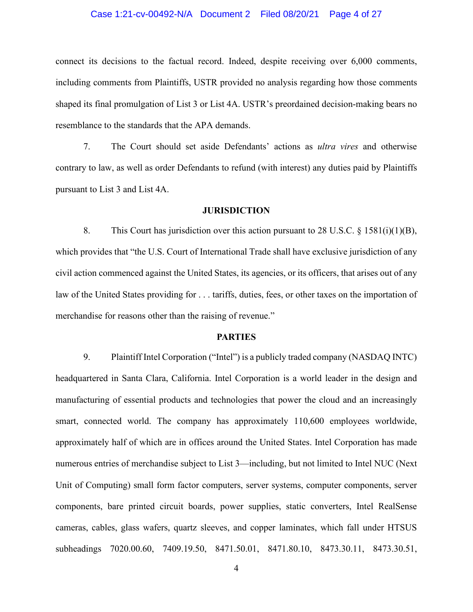### Case 1:21-cv-00492-N/A Document 2 Filed 08/20/21 Page 4 of 27

connect its decisions to the factual record. Indeed, despite receiving over 6,000 comments, including comments from Plaintiffs, USTR provided no analysis regarding how those comments shaped its final promulgation of List 3 or List 4A. USTR's preordained decision-making bears no resemblance to the standards that the APA demands.

7. The Court should set aside Defendants' actions as *ultra vires* and otherwise contrary to law, as well as order Defendants to refund (with interest) any duties paid by Plaintiffs pursuant to List 3 and List 4A.

#### **JURISDICTION**

8. This Court has jurisdiction over this action pursuant to 28 U.S.C. § 1581(i)(1)(B), which provides that "the U.S. Court of International Trade shall have exclusive jurisdiction of any civil action commenced against the United States, its agencies, or its officers, that arises out of any law of the United States providing for . . . tariffs, duties, fees, or other taxes on the importation of merchandise for reasons other than the raising of revenue."

### **PARTIES**

9. Plaintiff Intel Corporation ("Intel") is a publicly traded company (NASDAQ INTC) headquartered in Santa Clara, California. Intel Corporation is a world leader in the design and manufacturing of essential products and technologies that power the cloud and an increasingly smart, connected world. The company has approximately 110,600 employees worldwide, approximately half of which are in offices around the United States. Intel Corporation has made numerous entries of merchandise subject to List 3—including, but not limited to Intel NUC (Next Unit of Computing) small form factor computers, server systems, computer components, server components, bare printed circuit boards, power supplies, static converters, Intel RealSense cameras, cables, glass wafers, quartz sleeves, and copper laminates, which fall under HTSUS subheadings 7020.00.60, 7409.19.50, 8471.50.01, 8471.80.10, 8473.30.11, 8473.30.51,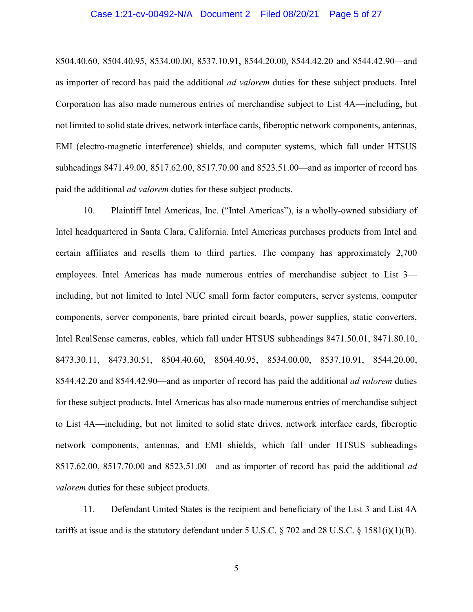#### Case 1:21-cv-00492-N/A Document 2 Filed 08/20/21 Page 5 of 27

8504.40.60, 8504.40.95, 8534.00.00, 8537.10.91, 8544.20.00, 8544.42.20 and 8544.42.90—and as importer of record has paid the additional *ad valorem* duties for these subject products. Intel Corporation has also made numerous entries of merchandise subject to List 4A—including, but not limited to solid state drives, network interface cards, fiberoptic network components, antennas, EMI (electro-magnetic interference) shields, and computer systems, which fall under HTSUS subheadings 8471.49.00, 8517.62.00, 8517.70.00 and 8523.51.00—and as importer of record has paid the additional *ad valorem* duties for these subject products.

10. Plaintiff Intel Americas, Inc. ("Intel Americas"), is a wholly-owned subsidiary of Intel headquartered in Santa Clara, California. Intel Americas purchases products from Intel and certain affiliates and resells them to third parties. The company has approximately 2,700 employees. Intel Americas has made numerous entries of merchandise subject to List 3 including, but not limited to Intel NUC small form factor computers, server systems, computer components, server components, bare printed circuit boards, power supplies, static converters, Intel RealSense cameras, cables, which fall under HTSUS subheadings 8471.50.01, 8471.80.10, 8473.30.11, 8473.30.51, 8504.40.60, 8504.40.95, 8534.00.00, 8537.10.91, 8544.20.00, 8544.42.20 and 8544.42.90—and as importer of record has paid the additional *ad valorem* duties for these subject products. Intel Americas has also made numerous entries of merchandise subject to List 4A—including, but not limited to solid state drives, network interface cards, fiberoptic network components, antennas, and EMI shields, which fall under HTSUS subheadings 8517.62.00, 8517.70.00 and 8523.51.00—and as importer of record has paid the additional *ad valorem* duties for these subject products.

11. Defendant United States is the recipient and beneficiary of the List 3 and List 4A tariffs at issue and is the statutory defendant under 5 U.S.C. § 702 and 28 U.S.C. § 1581(i)(1)(B).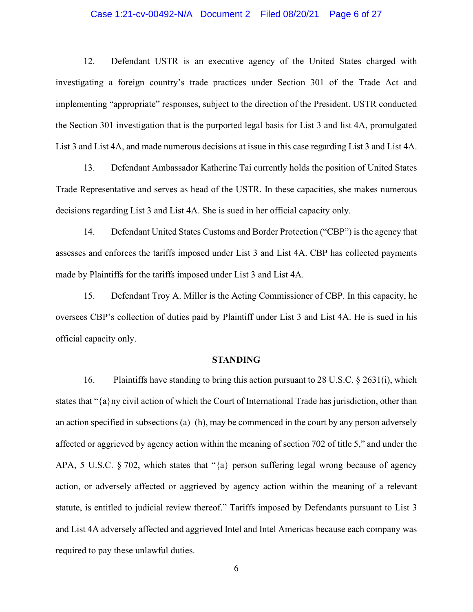### Case 1:21-cv-00492-N/A Document 2 Filed 08/20/21 Page 6 of 27

12. Defendant USTR is an executive agency of the United States charged with investigating a foreign country's trade practices under Section 301 of the Trade Act and implementing "appropriate" responses, subject to the direction of the President. USTR conducted the Section 301 investigation that is the purported legal basis for List 3 and list 4A, promulgated List 3 and List 4A, and made numerous decisions at issue in this case regarding List 3 and List 4A.

13. Defendant Ambassador Katherine Tai currently holds the position of United States Trade Representative and serves as head of the USTR. In these capacities, she makes numerous decisions regarding List 3 and List 4A. She is sued in her official capacity only.

14. Defendant United States Customs and Border Protection ("CBP") is the agency that assesses and enforces the tariffs imposed under List 3 and List 4A. CBP has collected payments made by Plaintiffs for the tariffs imposed under List 3 and List 4A.

15. Defendant Troy A. Miller is the Acting Commissioner of CBP. In this capacity, he oversees CBP's collection of duties paid by Plaintiff under List 3 and List 4A. He is sued in his official capacity only.

#### **STANDING**

16. Plaintiffs have standing to bring this action pursuant to 28 U.S.C. § 2631(i), which states that "{a}ny civil action of which the Court of International Trade has jurisdiction, other than an action specified in subsections  $(a)$ –(h), may be commenced in the court by any person adversely affected or aggrieved by agency action within the meaning of section 702 of title 5," and under the APA, 5 U.S.C. § 702, which states that "{a} person suffering legal wrong because of agency action, or adversely affected or aggrieved by agency action within the meaning of a relevant statute, is entitled to judicial review thereof." Tariffs imposed by Defendants pursuant to List 3 and List 4A adversely affected and aggrieved Intel and Intel Americas because each company was required to pay these unlawful duties.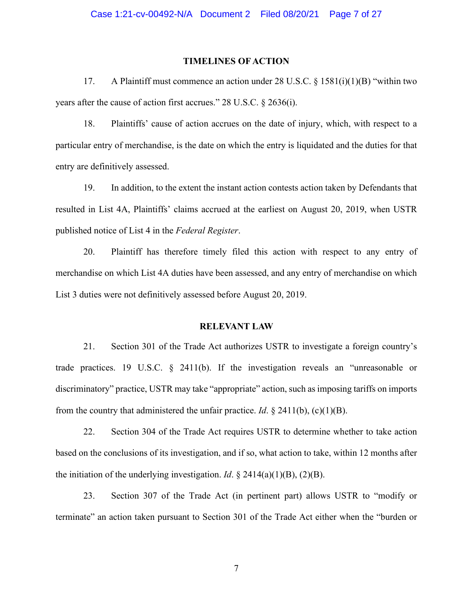# **TIMELINES OF ACTION**

17. A Plaintiff must commence an action under 28 U.S.C. § 1581(i)(1)(B) "within two years after the cause of action first accrues." 28 U.S.C. § 2636(i).

18. Plaintiffs' cause of action accrues on the date of injury, which, with respect to a particular entry of merchandise, is the date on which the entry is liquidated and the duties for that entry are definitively assessed.

19. In addition, to the extent the instant action contests action taken by Defendants that resulted in List 4A, Plaintiffs' claims accrued at the earliest on August 20, 2019, when USTR published notice of List 4 in the *Federal Register*.

20. Plaintiff has therefore timely filed this action with respect to any entry of merchandise on which List 4A duties have been assessed, and any entry of merchandise on which List 3 duties were not definitively assessed before August 20, 2019.

#### **RELEVANT LAW**

21. Section 301 of the Trade Act authorizes USTR to investigate a foreign country's trade practices. 19 U.S.C. § 2411(b). If the investigation reveals an "unreasonable or discriminatory" practice, USTR may take "appropriate" action, such as imposing tariffs on imports from the country that administered the unfair practice. *Id*.  $\S$  2411(b), (c)(1)(B).

22. Section 304 of the Trade Act requires USTR to determine whether to take action based on the conclusions of its investigation, and if so, what action to take, within 12 months after the initiation of the underlying investigation. *Id*.  $\S$  2414(a)(1)(B), (2)(B).

23. Section 307 of the Trade Act (in pertinent part) allows USTR to "modify or terminate" an action taken pursuant to Section 301 of the Trade Act either when the "burden or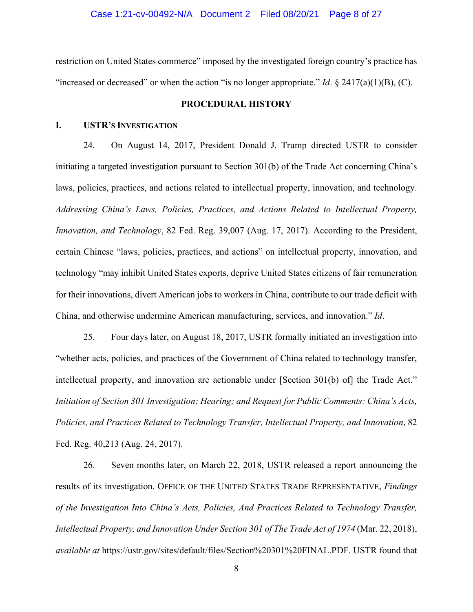restriction on United States commerce" imposed by the investigated foreign country's practice has "increased or decreased" or when the action "is no longer appropriate." *Id*. § 2417(a)(1)(B), (C).

### **PROCEDURAL HISTORY**

### **I. USTR'S INVESTIGATION**

24. On August 14, 2017, President Donald J. Trump directed USTR to consider initiating a targeted investigation pursuant to Section 301(b) of the Trade Act concerning China's laws, policies, practices, and actions related to intellectual property, innovation, and technology. *Addressing China's Laws, Policies, Practices, and Actions Related to Intellectual Property, Innovation, and Technology*, 82 Fed. Reg. 39,007 (Aug. 17, 2017). According to the President, certain Chinese "laws, policies, practices, and actions" on intellectual property, innovation, and technology "may inhibit United States exports, deprive United States citizens of fair remuneration for their innovations, divert American jobs to workers in China, contribute to our trade deficit with China, and otherwise undermine American manufacturing, services, and innovation." *Id*.

25. Four days later, on August 18, 2017, USTR formally initiated an investigation into "whether acts, policies, and practices of the Government of China related to technology transfer, intellectual property, and innovation are actionable under [Section 301(b) of] the Trade Act." *Initiation of Section 301 Investigation; Hearing; and Request for Public Comments: China's Acts, Policies, and Practices Related to Technology Transfer, Intellectual Property, and Innovation*, 82 Fed. Reg. 40,213 (Aug. 24, 2017).

26. Seven months later, on March 22, 2018, USTR released a report announcing the results of its investigation. OFFICE OF THE UNITED STATES TRADE REPRESENTATIVE, *Findings of the Investigation Into China's Acts, Policies, And Practices Related to Technology Transfer, Intellectual Property, and Innovation Under Section 301 of The Trade Act of 1974* (Mar. 22, 2018), *available at* https://ustr.gov/sites/default/files/Section%20301%20FINAL.PDF. USTR found that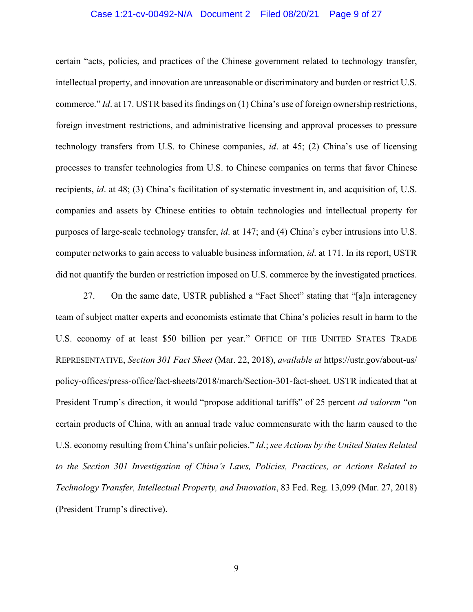#### Case 1:21-cv-00492-N/A Document 2 Filed 08/20/21 Page 9 of 27

certain "acts, policies, and practices of the Chinese government related to technology transfer, intellectual property, and innovation are unreasonable or discriminatory and burden or restrict U.S. commerce." *Id*. at 17. USTR based its findings on (1) China's use of foreign ownership restrictions, foreign investment restrictions, and administrative licensing and approval processes to pressure technology transfers from U.S. to Chinese companies, *id*. at 45; (2) China's use of licensing processes to transfer technologies from U.S. to Chinese companies on terms that favor Chinese recipients, *id*. at 48; (3) China's facilitation of systematic investment in, and acquisition of, U.S. companies and assets by Chinese entities to obtain technologies and intellectual property for purposes of large-scale technology transfer, *id*. at 147; and (4) China's cyber intrusions into U.S. computer networks to gain access to valuable business information, *id*. at 171. In its report, USTR did not quantify the burden or restriction imposed on U.S. commerce by the investigated practices.

27. On the same date, USTR published a "Fact Sheet" stating that "[a]n interagency team of subject matter experts and economists estimate that China's policies result in harm to the U.S. economy of at least \$50 billion per year." OFFICE OF THE UNITED STATES TRADE REPRESENTATIVE, *Section 301 Fact Sheet* (Mar. 22, 2018), *available at* https://ustr.gov/about-us/ policy-offices/press-office/fact-sheets/2018/march/Section-301-fact-sheet. USTR indicated that at President Trump's direction, it would "propose additional tariffs" of 25 percent *ad valorem* "on certain products of China, with an annual trade value commensurate with the harm caused to the U.S. economy resulting from China's unfair policies." *Id*.; *see Actions by the United States Related to the Section 301 Investigation of China's Laws, Policies, Practices, or Actions Related to Technology Transfer, Intellectual Property, and Innovation*, 83 Fed. Reg. 13,099 (Mar. 27, 2018) (President Trump's directive).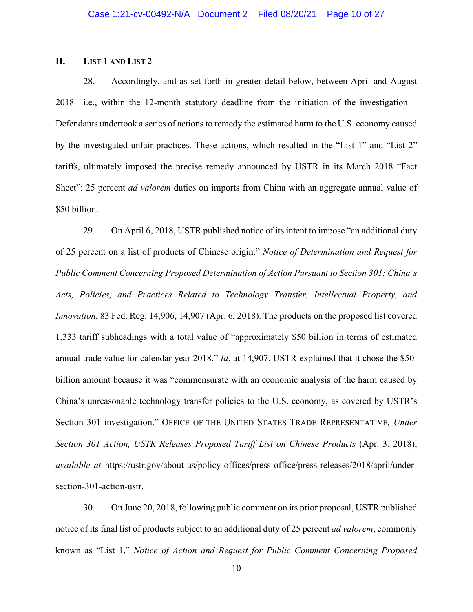# **II. LIST 1 AND LIST 2**

28. Accordingly, and as set forth in greater detail below, between April and August 2018—i.e., within the 12-month statutory deadline from the initiation of the investigation— Defendants undertook a series of actions to remedy the estimated harm to the U.S. economy caused by the investigated unfair practices. These actions, which resulted in the "List 1" and "List 2" tariffs, ultimately imposed the precise remedy announced by USTR in its March 2018 "Fact Sheet": 25 percent *ad valorem* duties on imports from China with an aggregate annual value of \$50 billion.

29. On April 6, 2018, USTR published notice of its intent to impose "an additional duty of 25 percent on a list of products of Chinese origin." *Notice of Determination and Request for Public Comment Concerning Proposed Determination of Action Pursuant to Section 301: China's Acts, Policies, and Practices Related to Technology Transfer, Intellectual Property, and Innovation*, 83 Fed. Reg. 14,906, 14,907 (Apr. 6, 2018). The products on the proposed list covered 1,333 tariff subheadings with a total value of "approximately \$50 billion in terms of estimated annual trade value for calendar year 2018." *Id*. at 14,907. USTR explained that it chose the \$50 billion amount because it was "commensurate with an economic analysis of the harm caused by China's unreasonable technology transfer policies to the U.S. economy, as covered by USTR's Section 301 investigation." OFFICE OF THE UNITED STATES TRADE REPRESENTATIVE, *Under Section 301 Action, USTR Releases Proposed Tariff List on Chinese Products* (Apr. 3, 2018), *available at* https://ustr.gov/about-us/policy-offices/press-office/press-releases/2018/april/undersection-301-action-ustr.

30. On June 20, 2018, following public comment on its prior proposal, USTR published notice of its final list of products subject to an additional duty of 25 percent *ad valorem*, commonly known as "List 1." *Notice of Action and Request for Public Comment Concerning Proposed*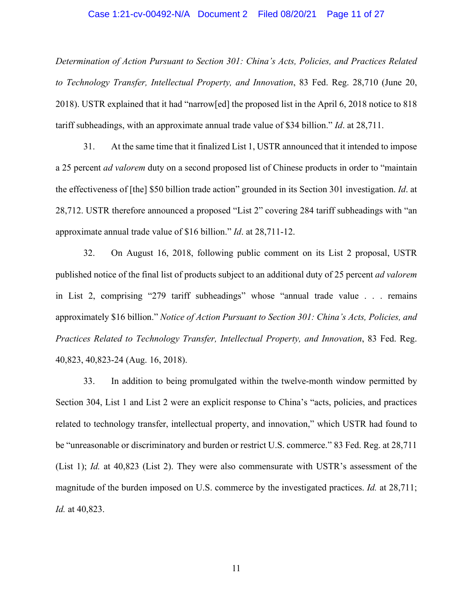#### Case 1:21-cv-00492-N/A Document 2 Filed 08/20/21 Page 11 of 27

*Determination of Action Pursuant to Section 301: China's Acts, Policies, and Practices Related to Technology Transfer, Intellectual Property, and Innovation*, 83 Fed. Reg. 28,710 (June 20, 2018). USTR explained that it had "narrow[ed] the proposed list in the April 6, 2018 notice to 818 tariff subheadings, with an approximate annual trade value of \$34 billion." *Id*. at 28,711.

31. At the same time that it finalized List 1, USTR announced that it intended to impose a 25 percent *ad valorem* duty on a second proposed list of Chinese products in order to "maintain the effectiveness of [the] \$50 billion trade action" grounded in its Section 301 investigation. *Id*. at 28,712. USTR therefore announced a proposed "List 2" covering 284 tariff subheadings with "an approximate annual trade value of \$16 billion." *Id*. at 28,711-12.

32. On August 16, 2018, following public comment on its List 2 proposal, USTR published notice of the final list of products subject to an additional duty of 25 percent *ad valorem* in List 2, comprising "279 tariff subheadings" whose "annual trade value . . . remains approximately \$16 billion." *Notice of Action Pursuant to Section 301: China's Acts, Policies, and Practices Related to Technology Transfer, Intellectual Property, and Innovation*, 83 Fed. Reg. 40,823, 40,823-24 (Aug. 16, 2018).

33. In addition to being promulgated within the twelve-month window permitted by Section 304, List 1 and List 2 were an explicit response to China's "acts, policies, and practices related to technology transfer, intellectual property, and innovation," which USTR had found to be "unreasonable or discriminatory and burden or restrict U.S. commerce." 83 Fed. Reg. at 28,711 (List 1); *Id.* at 40,823 (List 2). They were also commensurate with USTR's assessment of the magnitude of the burden imposed on U.S. commerce by the investigated practices. *Id.* at 28,711; *Id.* at 40,823.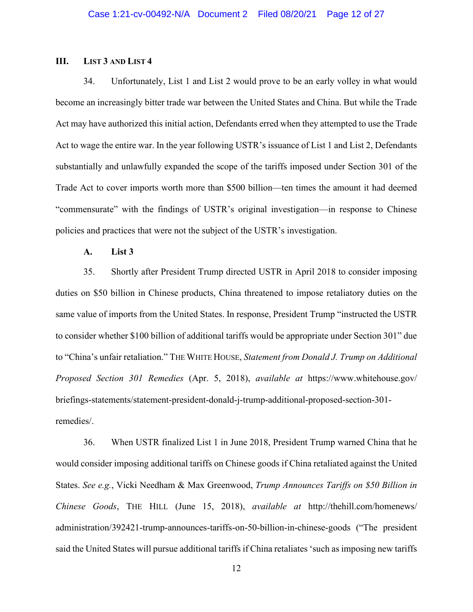### **III. LIST 3 AND LIST 4**

34. Unfortunately, List 1 and List 2 would prove to be an early volley in what would become an increasingly bitter trade war between the United States and China. But while the Trade Act may have authorized this initial action, Defendants erred when they attempted to use the Trade Act to wage the entire war. In the year following USTR's issuance of List 1 and List 2, Defendants substantially and unlawfully expanded the scope of the tariffs imposed under Section 301 of the Trade Act to cover imports worth more than \$500 billion—ten times the amount it had deemed "commensurate" with the findings of USTR's original investigation—in response to Chinese policies and practices that were not the subject of the USTR's investigation.

### **A. List 3**

35. Shortly after President Trump directed USTR in April 2018 to consider imposing duties on \$50 billion in Chinese products, China threatened to impose retaliatory duties on the same value of imports from the United States. In response, President Trump "instructed the USTR to consider whether \$100 billion of additional tariffs would be appropriate under Section 301" due to "China's unfair retaliation." THE WHITE HOUSE, *Statement from Donald J. Trump on Additional Proposed Section 301 Remedies* (Apr. 5, 2018), *available at* https://www.whitehouse.gov/ briefings-statements/statement-president-donald-j-trump-additional-proposed-section-301 remedies/.

36. When USTR finalized List 1 in June 2018, President Trump warned China that he would consider imposing additional tariffs on Chinese goods if China retaliated against the United States. *See e.g.*, Vicki Needham & Max Greenwood, *Trump Announces Tariffs on \$50 Billion in Chinese Goods*, THE HILL (June 15, 2018), *available at* http://thehill.com/homenews/ administration/392421-trump-announces-tariffs-on-50-billion-in-chinese-goods ("The president said the United States will pursue additional tariffs if China retaliates 'such as imposing new tariffs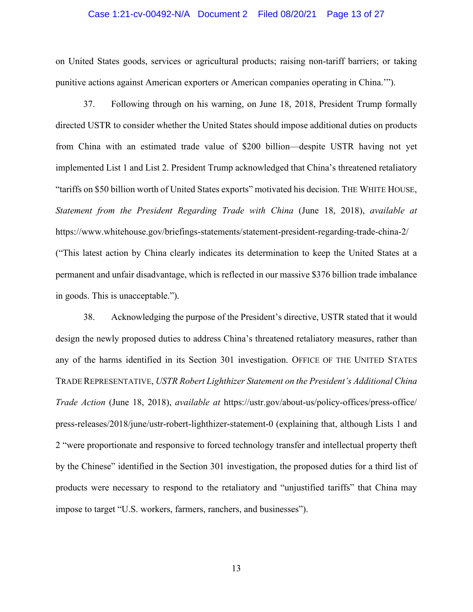#### Case 1:21-cv-00492-N/A Document 2 Filed 08/20/21 Page 13 of 27

on United States goods, services or agricultural products; raising non-tariff barriers; or taking punitive actions against American exporters or American companies operating in China.'").

37. Following through on his warning, on June 18, 2018, President Trump formally directed USTR to consider whether the United States should impose additional duties on products from China with an estimated trade value of \$200 billion—despite USTR having not yet implemented List 1 and List 2. President Trump acknowledged that China's threatened retaliatory "tariffs on \$50 billion worth of United States exports" motivated his decision. THE WHITE HOUSE, *Statement from the President Regarding Trade with China* (June 18, 2018), *available at* https://www.whitehouse.gov/briefings-statements/statement-president-regarding-trade-china-2/ ("This latest action by China clearly indicates its determination to keep the United States at a permanent and unfair disadvantage, which is reflected in our massive \$376 billion trade imbalance in goods. This is unacceptable.").

38. Acknowledging the purpose of the President's directive, USTR stated that it would design the newly proposed duties to address China's threatened retaliatory measures, rather than any of the harms identified in its Section 301 investigation. OFFICE OF THE UNITED STATES TRADE REPRESENTATIVE, *USTR Robert Lighthizer Statement on the President's Additional China Trade Action* (June 18, 2018), *available at* https://ustr.gov/about-us/policy-offices/press-office/ press-releases/2018/june/ustr-robert-lighthizer-statement-0 (explaining that, although Lists 1 and 2 "were proportionate and responsive to forced technology transfer and intellectual property theft by the Chinese" identified in the Section 301 investigation, the proposed duties for a third list of products were necessary to respond to the retaliatory and "unjustified tariffs" that China may impose to target "U.S. workers, farmers, ranchers, and businesses").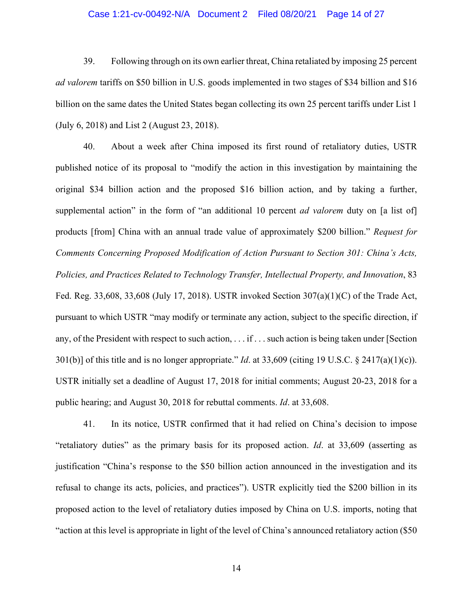### Case 1:21-cv-00492-N/A Document 2 Filed 08/20/21 Page 14 of 27

39. Following through on its own earlier threat, China retaliated by imposing 25 percent *ad valorem* tariffs on \$50 billion in U.S. goods implemented in two stages of \$34 billion and \$16 billion on the same dates the United States began collecting its own 25 percent tariffs under List 1 (July 6, 2018) and List 2 (August 23, 2018).

40. About a week after China imposed its first round of retaliatory duties, USTR published notice of its proposal to "modify the action in this investigation by maintaining the original \$34 billion action and the proposed \$16 billion action, and by taking a further, supplemental action" in the form of "an additional 10 percent *ad valorem* duty on [a list of] products [from] China with an annual trade value of approximately \$200 billion." *Request for Comments Concerning Proposed Modification of Action Pursuant to Section 301: China's Acts, Policies, and Practices Related to Technology Transfer, Intellectual Property, and Innovation*, 83 Fed. Reg. 33,608, 33,608 (July 17, 2018). USTR invoked Section  $307(a)(1)(C)$  of the Trade Act, pursuant to which USTR "may modify or terminate any action, subject to the specific direction, if any, of the President with respect to such action, . . . if . . . such action is being taken under [Section 301(b)] of this title and is no longer appropriate." *Id*. at 33,609 (citing 19 U.S.C. § 2417(a)(1)(c)). USTR initially set a deadline of August 17, 2018 for initial comments; August 20-23, 2018 for a public hearing; and August 30, 2018 for rebuttal comments. *Id*. at 33,608.

41. In its notice, USTR confirmed that it had relied on China's decision to impose "retaliatory duties" as the primary basis for its proposed action. *Id*. at 33,609 (asserting as justification "China's response to the \$50 billion action announced in the investigation and its refusal to change its acts, policies, and practices"). USTR explicitly tied the \$200 billion in its proposed action to the level of retaliatory duties imposed by China on U.S. imports, noting that "action at this level is appropriate in light of the level of China's announced retaliatory action (\$50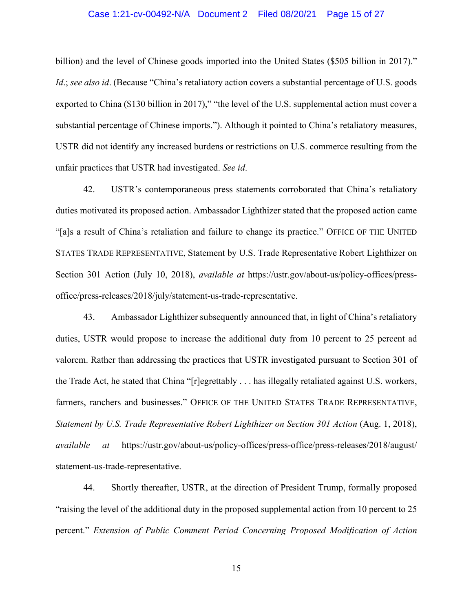### Case 1:21-cv-00492-N/A Document 2 Filed 08/20/21 Page 15 of 27

billion) and the level of Chinese goods imported into the United States (\$505 billion in 2017)." *Id.*; *see also id.* (Because "China's retaliatory action covers a substantial percentage of U.S. goods exported to China (\$130 billion in 2017)," "the level of the U.S. supplemental action must cover a substantial percentage of Chinese imports."). Although it pointed to China's retaliatory measures, USTR did not identify any increased burdens or restrictions on U.S. commerce resulting from the unfair practices that USTR had investigated. *See id*.

42. USTR's contemporaneous press statements corroborated that China's retaliatory duties motivated its proposed action. Ambassador Lighthizer stated that the proposed action came "[a]s a result of China's retaliation and failure to change its practice." OFFICE OF THE UNITED STATES TRADE REPRESENTATIVE, Statement by U.S. Trade Representative Robert Lighthizer on Section 301 Action (July 10, 2018), *available at* https://ustr.gov/about-us/policy-offices/pressoffice/press-releases/2018/july/statement-us-trade-representative.

43. Ambassador Lighthizer subsequently announced that, in light of China's retaliatory duties, USTR would propose to increase the additional duty from 10 percent to 25 percent ad valorem. Rather than addressing the practices that USTR investigated pursuant to Section 301 of the Trade Act, he stated that China "[r]egrettably . . . has illegally retaliated against U.S. workers, farmers, ranchers and businesses." OFFICE OF THE UNITED STATES TRADE REPRESENTATIVE, *Statement by U.S. Trade Representative Robert Lighthizer on Section 301 Action (Aug. 1, 2018), available at* https://ustr.gov/about-us/policy-offices/press-office/press-releases/2018/august/ statement-us-trade-representative.

44. Shortly thereafter, USTR, at the direction of President Trump, formally proposed "raising the level of the additional duty in the proposed supplemental action from 10 percent to 25 percent." *Extension of Public Comment Period Concerning Proposed Modification of Action*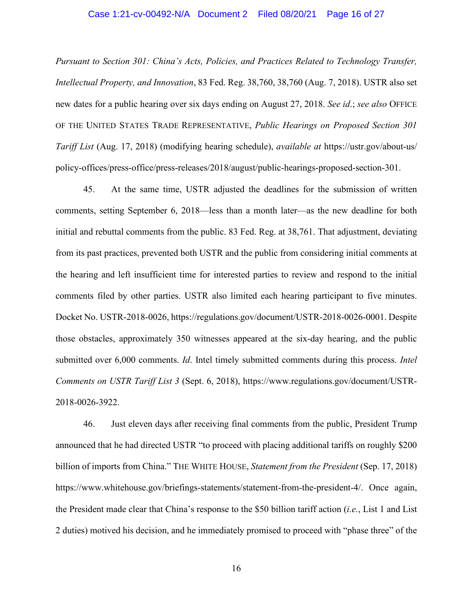### Case 1:21-cv-00492-N/A Document 2 Filed 08/20/21 Page 16 of 27

*Pursuant to Section 301: China's Acts, Policies, and Practices Related to Technology Transfer, Intellectual Property, and Innovation*, 83 Fed. Reg. 38,760, 38,760 (Aug. 7, 2018). USTR also set new dates for a public hearing over six days ending on August 27, 2018. *See id*.; *see also* OFFICE OF THE UNITED STATES TRADE REPRESENTATIVE, *Public Hearings on Proposed Section 301 Tariff List* (Aug. 17, 2018) (modifying hearing schedule), *available at* https://ustr.gov/about-us/ policy-offices/press-office/press-releases/2018/august/public-hearings-proposed-section-301.

45. At the same time, USTR adjusted the deadlines for the submission of written comments, setting September 6, 2018—less than a month later—as the new deadline for both initial and rebuttal comments from the public. 83 Fed. Reg. at 38,761. That adjustment, deviating from its past practices, prevented both USTR and the public from considering initial comments at the hearing and left insufficient time for interested parties to review and respond to the initial comments filed by other parties. USTR also limited each hearing participant to five minutes. Docket No. USTR-2018-0026, https://regulations.gov/document/USTR-2018-0026-0001. Despite those obstacles, approximately 350 witnesses appeared at the six-day hearing, and the public submitted over 6,000 comments. *Id*. Intel timely submitted comments during this process. *Intel Comments on USTR Tariff List 3* (Sept. 6, 2018), https://www.regulations.gov/document/USTR-2018-0026-3922.

46. Just eleven days after receiving final comments from the public, President Trump announced that he had directed USTR "to proceed with placing additional tariffs on roughly \$200 billion of imports from China." THE WHITE HOUSE, *Statement from the President* (Sep. 17, 2018) https://www.whitehouse.gov/briefings-statements/statement-from-the-president-4/. Once again, the President made clear that China's response to the \$50 billion tariff action (*i.e.*, List 1 and List 2 duties) motived his decision, and he immediately promised to proceed with "phase three" of the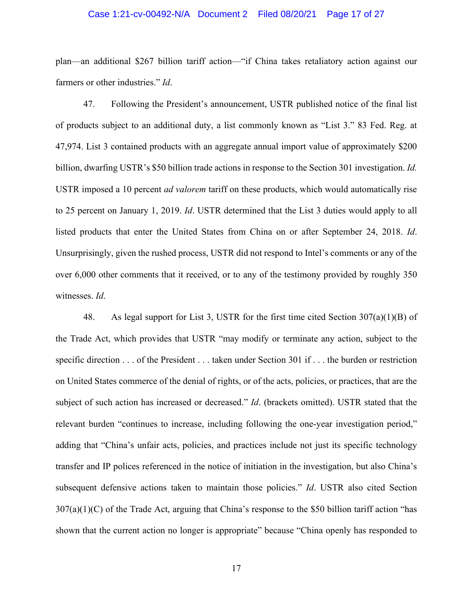#### Case 1:21-cv-00492-N/A Document 2 Filed 08/20/21 Page 17 of 27

plan—an additional \$267 billion tariff action—"if China takes retaliatory action against our farmers or other industries." *Id*.

47. Following the President's announcement, USTR published notice of the final list of products subject to an additional duty, a list commonly known as "List 3." 83 Fed. Reg. at 47,974. List 3 contained products with an aggregate annual import value of approximately \$200 billion, dwarfing USTR's \$50 billion trade actions in response to the Section 301 investigation. *Id.*  USTR imposed a 10 percent *ad valorem* tariff on these products, which would automatically rise to 25 percent on January 1, 2019. *Id*. USTR determined that the List 3 duties would apply to all listed products that enter the United States from China on or after September 24, 2018. *Id*. Unsurprisingly, given the rushed process, USTR did not respond to Intel's comments or any of the over 6,000 other comments that it received, or to any of the testimony provided by roughly 350 witnesses. *Id*.

48. As legal support for List 3, USTR for the first time cited Section 307(a)(1)(B) of the Trade Act, which provides that USTR "may modify or terminate any action, subject to the specific direction . . . of the President . . . taken under Section 301 if . . . the burden or restriction on United States commerce of the denial of rights, or of the acts, policies, or practices, that are the subject of such action has increased or decreased." *Id*. (brackets omitted). USTR stated that the relevant burden "continues to increase, including following the one-year investigation period," adding that "China's unfair acts, policies, and practices include not just its specific technology transfer and IP polices referenced in the notice of initiation in the investigation, but also China's subsequent defensive actions taken to maintain those policies." *Id*. USTR also cited Section  $307(a)(1)(C)$  of the Trade Act, arguing that China's response to the \$50 billion tariff action "has shown that the current action no longer is appropriate" because "China openly has responded to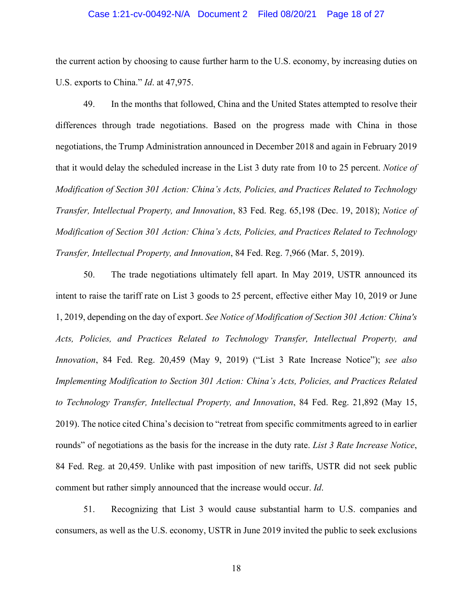#### Case 1:21-cv-00492-N/A Document 2 Filed 08/20/21 Page 18 of 27

the current action by choosing to cause further harm to the U.S. economy, by increasing duties on U.S. exports to China." *Id*. at 47,975.

49. In the months that followed, China and the United States attempted to resolve their differences through trade negotiations. Based on the progress made with China in those negotiations, the Trump Administration announced in December 2018 and again in February 2019 that it would delay the scheduled increase in the List 3 duty rate from 10 to 25 percent. *Notice of Modification of Section 301 Action: China's Acts, Policies, and Practices Related to Technology Transfer, Intellectual Property, and Innovation*, 83 Fed. Reg. 65,198 (Dec. 19, 2018); *Notice of Modification of Section 301 Action: China's Acts, Policies, and Practices Related to Technology Transfer, Intellectual Property, and Innovation*, 84 Fed. Reg. 7,966 (Mar. 5, 2019).

50. The trade negotiations ultimately fell apart. In May 2019, USTR announced its intent to raise the tariff rate on List 3 goods to 25 percent, effective either May 10, 2019 or June 1, 2019, depending on the day of export. *See Notice of Modification of Section 301 Action: China's Acts, Policies, and Practices Related to Technology Transfer, Intellectual Property, and Innovation*, 84 Fed. Reg. 20,459 (May 9, 2019) ("List 3 Rate Increase Notice"); *see also Implementing Modification to Section 301 Action: China's Acts, Policies, and Practices Related to Technology Transfer, Intellectual Property, and Innovation*, 84 Fed. Reg. 21,892 (May 15, 2019). The notice cited China's decision to "retreat from specific commitments agreed to in earlier rounds" of negotiations as the basis for the increase in the duty rate. *List 3 Rate Increase Notice*, 84 Fed. Reg. at 20,459. Unlike with past imposition of new tariffs, USTR did not seek public comment but rather simply announced that the increase would occur. *Id*.

51. Recognizing that List 3 would cause substantial harm to U.S. companies and consumers, as well as the U.S. economy, USTR in June 2019 invited the public to seek exclusions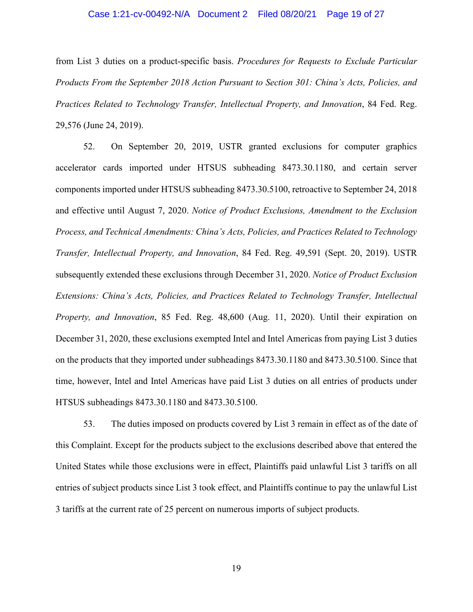#### Case 1:21-cv-00492-N/A Document 2 Filed 08/20/21 Page 19 of 27

from List 3 duties on a product-specific basis. *Procedures for Requests to Exclude Particular Products From the September 2018 Action Pursuant to Section 301: China's Acts, Policies, and Practices Related to Technology Transfer, Intellectual Property, and Innovation*, 84 Fed. Reg. 29,576 (June 24, 2019).

52. On September 20, 2019, USTR granted exclusions for computer graphics accelerator cards imported under HTSUS subheading 8473.30.1180, and certain server components imported under HTSUS subheading 8473.30.5100, retroactive to September 24, 2018 and effective until August 7, 2020. *Notice of Product Exclusions, Amendment to the Exclusion Process, and Technical Amendments: China's Acts, Policies, and Practices Related to Technology Transfer, Intellectual Property, and Innovation*, 84 Fed. Reg. 49,591 (Sept. 20, 2019). USTR subsequently extended these exclusions through December 31, 2020. *Notice of Product Exclusion Extensions: China's Acts, Policies, and Practices Related to Technology Transfer, Intellectual Property, and Innovation*, 85 Fed. Reg. 48,600 (Aug. 11, 2020). Until their expiration on December 31, 2020, these exclusions exempted Intel and Intel Americas from paying List 3 duties on the products that they imported under subheadings 8473.30.1180 and 8473.30.5100. Since that time, however, Intel and Intel Americas have paid List 3 duties on all entries of products under HTSUS subheadings 8473.30.1180 and 8473.30.5100.

53. The duties imposed on products covered by List 3 remain in effect as of the date of this Complaint. Except for the products subject to the exclusions described above that entered the United States while those exclusions were in effect, Plaintiffs paid unlawful List 3 tariffs on all entries of subject products since List 3 took effect, and Plaintiffs continue to pay the unlawful List 3 tariffs at the current rate of 25 percent on numerous imports of subject products.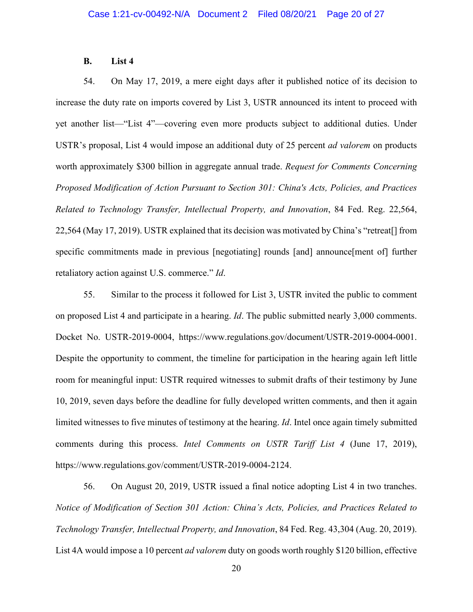### **B. List 4**

54. On May 17, 2019, a mere eight days after it published notice of its decision to increase the duty rate on imports covered by List 3, USTR announced its intent to proceed with yet another list—"List 4"—covering even more products subject to additional duties. Under USTR's proposal, List 4 would impose an additional duty of 25 percent *ad valorem* on products worth approximately \$300 billion in aggregate annual trade. *Request for Comments Concerning Proposed Modification of Action Pursuant to Section 301: China's Acts, Policies, and Practices Related to Technology Transfer, Intellectual Property, and Innovation*, 84 Fed. Reg. 22,564, 22,564 (May 17, 2019). USTR explained that its decision was motivated by China's "retreat[] from specific commitments made in previous [negotiating] rounds [and] announce[ment of] further retaliatory action against U.S. commerce." *Id*.

55. Similar to the process it followed for List 3, USTR invited the public to comment on proposed List 4 and participate in a hearing. *Id*. The public submitted nearly 3,000 comments. Docket No. USTR-2019-0004, https://www.regulations.gov/document/USTR-2019-0004-0001. Despite the opportunity to comment, the timeline for participation in the hearing again left little room for meaningful input: USTR required witnesses to submit drafts of their testimony by June 10, 2019, seven days before the deadline for fully developed written comments, and then it again limited witnesses to five minutes of testimony at the hearing. *Id*. Intel once again timely submitted comments during this process. *Intel Comments on USTR Tariff List 4* (June 17, 2019), https://www.regulations.gov/comment/USTR-2019-0004-2124.

56. On August 20, 2019, USTR issued a final notice adopting List 4 in two tranches. *Notice of Modification of Section 301 Action: China's Acts, Policies, and Practices Related to Technology Transfer, Intellectual Property, and Innovation*, 84 Fed. Reg. 43,304 (Aug. 20, 2019). List 4A would impose a 10 percent *ad valorem* duty on goods worth roughly \$120 billion, effective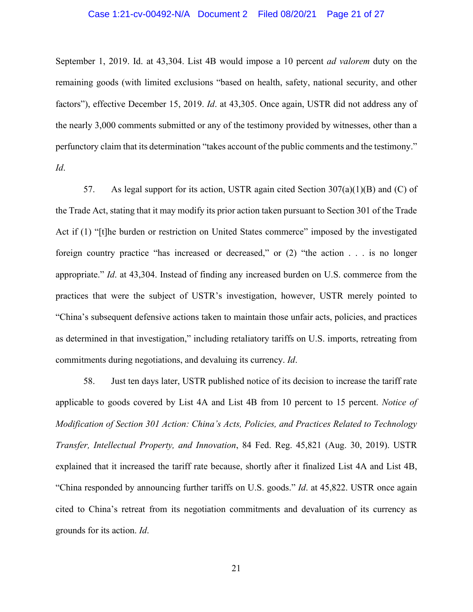### Case 1:21-cv-00492-N/A Document 2 Filed 08/20/21 Page 21 of 27

September 1, 2019. Id. at 43,304. List 4B would impose a 10 percent *ad valorem* duty on the remaining goods (with limited exclusions "based on health, safety, national security, and other factors"), effective December 15, 2019. *Id*. at 43,305. Once again, USTR did not address any of the nearly 3,000 comments submitted or any of the testimony provided by witnesses, other than a perfunctory claim that its determination "takes account of the public comments and the testimony." *Id*.

57. As legal support for its action, USTR again cited Section  $307(a)(1)(B)$  and (C) of the Trade Act, stating that it may modify its prior action taken pursuant to Section 301 of the Trade Act if (1) "[t]he burden or restriction on United States commerce" imposed by the investigated foreign country practice "has increased or decreased," or (2) "the action . . . is no longer appropriate." *Id*. at 43,304. Instead of finding any increased burden on U.S. commerce from the practices that were the subject of USTR's investigation, however, USTR merely pointed to "China's subsequent defensive actions taken to maintain those unfair acts, policies, and practices as determined in that investigation," including retaliatory tariffs on U.S. imports, retreating from commitments during negotiations, and devaluing its currency. *Id*.

58. Just ten days later, USTR published notice of its decision to increase the tariff rate applicable to goods covered by List 4A and List 4B from 10 percent to 15 percent. *Notice of Modification of Section 301 Action: China's Acts, Policies, and Practices Related to Technology Transfer, Intellectual Property, and Innovation*, 84 Fed. Reg. 45,821 (Aug. 30, 2019). USTR explained that it increased the tariff rate because, shortly after it finalized List 4A and List 4B, "China responded by announcing further tariffs on U.S. goods." *Id*. at 45,822. USTR once again cited to China's retreat from its negotiation commitments and devaluation of its currency as grounds for its action. *Id*.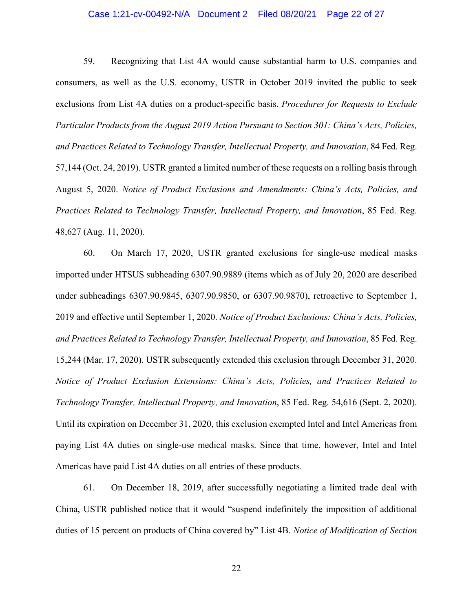### Case 1:21-cv-00492-N/A Document 2 Filed 08/20/21 Page 22 of 27

59. Recognizing that List 4A would cause substantial harm to U.S. companies and consumers, as well as the U.S. economy, USTR in October 2019 invited the public to seek exclusions from List 4A duties on a product-specific basis. *Procedures for Requests to Exclude Particular Products from the August 2019 Action Pursuant to Section 301: China's Acts, Policies, and Practices Related to Technology Transfer, Intellectual Property, and Innovation*, 84 Fed. Reg. 57,144 (Oct. 24, 2019). USTR granted a limited number of these requests on a rolling basis through August 5, 2020. *Notice of Product Exclusions and Amendments: China's Acts, Policies, and Practices Related to Technology Transfer, Intellectual Property, and Innovation*, 85 Fed. Reg. 48,627 (Aug. 11, 2020).

60. On March 17, 2020, USTR granted exclusions for single-use medical masks imported under HTSUS subheading 6307.90.9889 (items which as of July 20, 2020 are described under subheadings 6307.90.9845, 6307.90.9850, or 6307.90.9870), retroactive to September 1, 2019 and effective until September 1, 2020. *Notice of Product Exclusions: China's Acts, Policies, and Practices Related to Technology Transfer, Intellectual Property, and Innovation*, 85 Fed. Reg. 15,244 (Mar. 17, 2020). USTR subsequently extended this exclusion through December 31, 2020. *Notice of Product Exclusion Extensions: China's Acts, Policies, and Practices Related to Technology Transfer, Intellectual Property, and Innovation*, 85 Fed. Reg. 54,616 (Sept. 2, 2020). Until its expiration on December 31, 2020, this exclusion exempted Intel and Intel Americas from paying List 4A duties on single-use medical masks. Since that time, however, Intel and Intel Americas have paid List 4A duties on all entries of these products.

61. On December 18, 2019, after successfully negotiating a limited trade deal with China, USTR published notice that it would "suspend indefinitely the imposition of additional duties of 15 percent on products of China covered by" List 4B. *Notice of Modification of Section*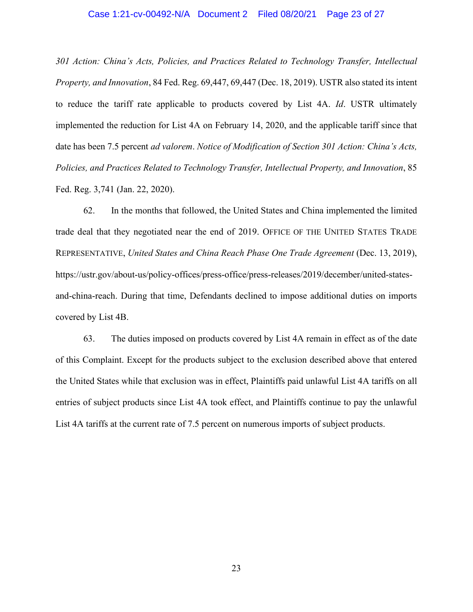#### Case 1:21-cv-00492-N/A Document 2 Filed 08/20/21 Page 23 of 27

*301 Action: China's Acts, Policies, and Practices Related to Technology Transfer, Intellectual Property, and Innovation*, 84 Fed. Reg. 69,447, 69,447 (Dec. 18, 2019). USTR also stated its intent to reduce the tariff rate applicable to products covered by List 4A. *Id*. USTR ultimately implemented the reduction for List 4A on February 14, 2020, and the applicable tariff since that date has been 7.5 percent *ad valorem*. *Notice of Modification of Section 301 Action: China's Acts, Policies, and Practices Related to Technology Transfer, Intellectual Property, and Innovation*, 85 Fed. Reg. 3,741 (Jan. 22, 2020).

62. In the months that followed, the United States and China implemented the limited trade deal that they negotiated near the end of 2019. OFFICE OF THE UNITED STATES TRADE REPRESENTATIVE, *United States and China Reach Phase One Trade Agreement* (Dec. 13, 2019), https://ustr.gov/about-us/policy-offices/press-office/press-releases/2019/december/united-statesand-china-reach. During that time, Defendants declined to impose additional duties on imports covered by List 4B.

63. The duties imposed on products covered by List 4A remain in effect as of the date of this Complaint. Except for the products subject to the exclusion described above that entered the United States while that exclusion was in effect, Plaintiffs paid unlawful List 4A tariffs on all entries of subject products since List 4A took effect, and Plaintiffs continue to pay the unlawful List 4A tariffs at the current rate of 7.5 percent on numerous imports of subject products.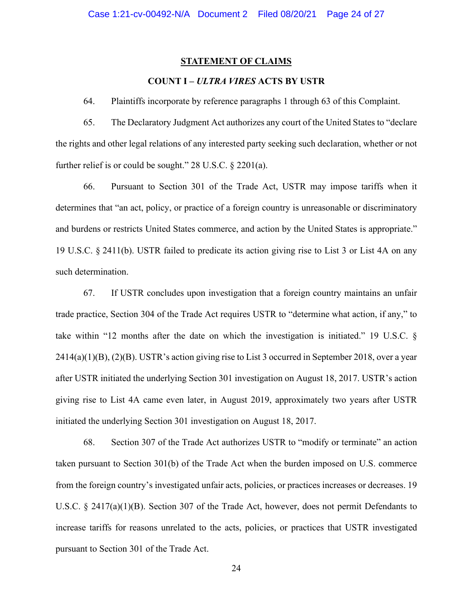### **STATEMENT OF CLAIMS**

# **COUNT I –** *ULTRA VIRES* **ACTS BY USTR**

64. Plaintiffs incorporate by reference paragraphs 1 through 63 of this Complaint.

65. The Declaratory Judgment Act authorizes any court of the United States to "declare the rights and other legal relations of any interested party seeking such declaration, whether or not further relief is or could be sought." 28 U.S.C. § 2201(a).

66. Pursuant to Section 301 of the Trade Act, USTR may impose tariffs when it determines that "an act, policy, or practice of a foreign country is unreasonable or discriminatory and burdens or restricts United States commerce, and action by the United States is appropriate." 19 U.S.C. § 2411(b). USTR failed to predicate its action giving rise to List 3 or List 4A on any such determination.

67. If USTR concludes upon investigation that a foreign country maintains an unfair trade practice, Section 304 of the Trade Act requires USTR to "determine what action, if any," to take within "12 months after the date on which the investigation is initiated." 19 U.S.C. § 2414(a)(1)(B), (2)(B). USTR's action giving rise to List 3 occurred in September 2018, over a year after USTR initiated the underlying Section 301 investigation on August 18, 2017. USTR's action giving rise to List 4A came even later, in August 2019, approximately two years after USTR initiated the underlying Section 301 investigation on August 18, 2017.

68. Section 307 of the Trade Act authorizes USTR to "modify or terminate" an action taken pursuant to Section 301(b) of the Trade Act when the burden imposed on U.S. commerce from the foreign country's investigated unfair acts, policies, or practices increases or decreases. 19 U.S.C. § 2417(a)(1)(B). Section 307 of the Trade Act, however, does not permit Defendants to increase tariffs for reasons unrelated to the acts, policies, or practices that USTR investigated pursuant to Section 301 of the Trade Act.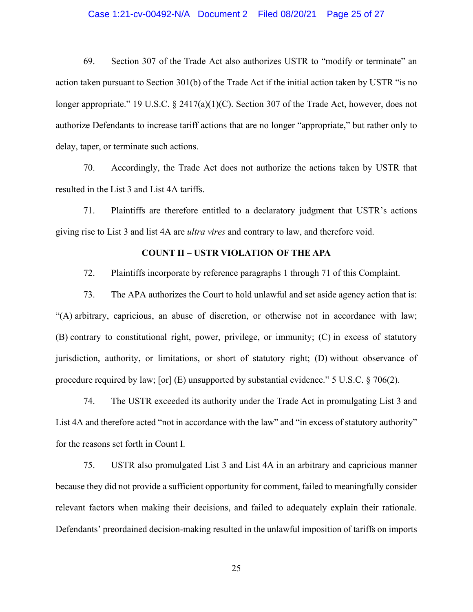### Case 1:21-cv-00492-N/A Document 2 Filed 08/20/21 Page 25 of 27

69. Section 307 of the Trade Act also authorizes USTR to "modify or terminate" an action taken pursuant to Section 301(b) of the Trade Act if the initial action taken by USTR "is no longer appropriate." 19 U.S.C. § 2417(a)(1)(C). Section 307 of the Trade Act, however, does not authorize Defendants to increase tariff actions that are no longer "appropriate," but rather only to delay, taper, or terminate such actions.

70. Accordingly, the Trade Act does not authorize the actions taken by USTR that resulted in the List 3 and List 4A tariffs.

71. Plaintiffs are therefore entitled to a declaratory judgment that USTR's actions giving rise to List 3 and list 4A are *ultra vires* and contrary to law, and therefore void.

## **COUNT II – USTR VIOLATION OF THE APA**

72. Plaintiffs incorporate by reference paragraphs 1 through 71 of this Complaint.

73. The APA authorizes the Court to hold unlawful and set aside agency action that is: "(A) arbitrary, capricious, an abuse of discretion, or otherwise not in accordance with law; (B) contrary to constitutional right, power, privilege, or immunity; (C) in excess of statutory jurisdiction, authority, or limitations, or short of statutory right; (D) without observance of procedure required by law; [or] (E) unsupported by substantial evidence." 5 U.S.C. § 706(2).

74. The USTR exceeded its authority under the Trade Act in promulgating List 3 and List 4A and therefore acted "not in accordance with the law" and "in excess of statutory authority" for the reasons set forth in Count I.

75. USTR also promulgated List 3 and List 4A in an arbitrary and capricious manner because they did not provide a sufficient opportunity for comment, failed to meaningfully consider relevant factors when making their decisions, and failed to adequately explain their rationale. Defendants' preordained decision-making resulted in the unlawful imposition of tariffs on imports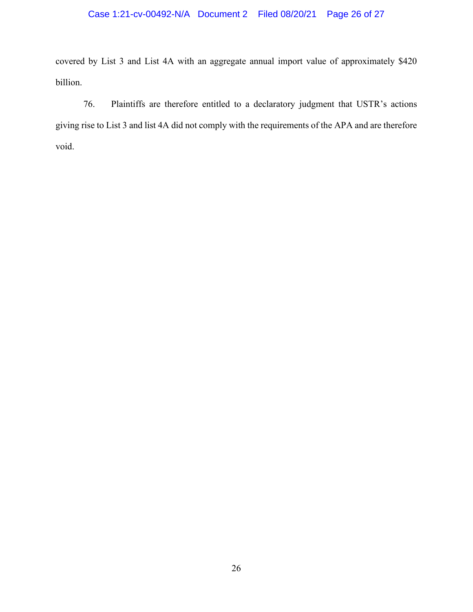# Case 1:21-cv-00492-N/A Document 2 Filed 08/20/21 Page 26 of 27

covered by List 3 and List 4A with an aggregate annual import value of approximately \$420 billion.

76. Plaintiffs are therefore entitled to a declaratory judgment that USTR's actions giving rise to List 3 and list 4A did not comply with the requirements of the APA and are therefore void.